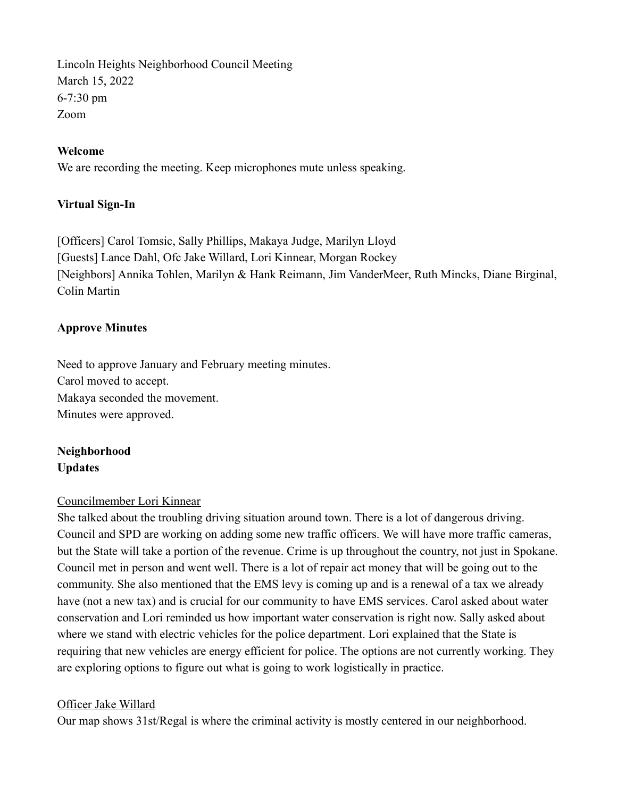Lincoln Heights Neighborhood Council Meeting March 15, 2022 6-7:30 pm Zoom

#### Welcome

We are recording the meeting. Keep microphones mute unless speaking.

#### Virtual Sign-In

[Officers] Carol Tomsic, Sally Phillips, Makaya Judge, Marilyn Lloyd [Guests] Lance Dahl, Ofc Jake Willard, Lori Kinnear, Morgan Rockey [Neighbors] Annika Tohlen, Marilyn & Hank Reimann, Jim VanderMeer, Ruth Mincks, Diane Birginal, Colin Martin

#### Approve Minutes

Need to approve January and February meeting minutes. Carol moved to accept. Makaya seconded the movement. Minutes were approved.

# Neighborhood Updates

#### Councilmember Lori Kinnear

She talked about the troubling driving situation around town. There is a lot of dangerous driving. Council and SPD are working on adding some new traffic officers. We will have more traffic cameras, but the State will take a portion of the revenue. Crime is up throughout the country, not just in Spokane. Council met in person and went well. There is a lot of repair act money that will be going out to the community. She also mentioned that the EMS levy is coming up and is a renewal of a tax we already have (not a new tax) and is crucial for our community to have EMS services. Carol asked about water conservation and Lori reminded us how important water conservation is right now. Sally asked about where we stand with electric vehicles for the police department. Lori explained that the State is requiring that new vehicles are energy efficient for police. The options are not currently working. They are exploring options to figure out what is going to work logistically in practice.

#### Officer Jake Willard

Our map shows 31st/Regal is where the criminal activity is mostly centered in our neighborhood.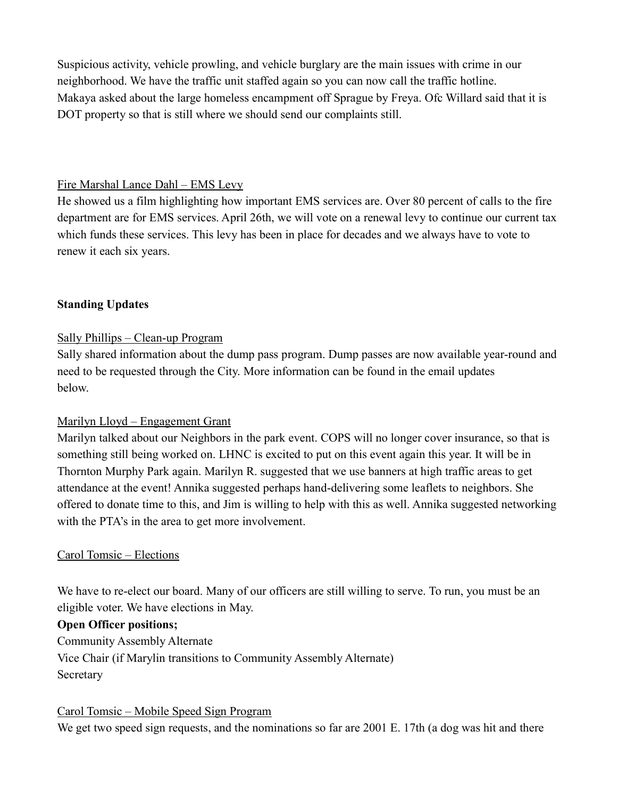Suspicious activity, vehicle prowling, and vehicle burglary are the main issues with crime in our neighborhood. We have the traffic unit staffed again so you can now call the traffic hotline. Makaya asked about the large homeless encampment off Sprague by Freya. Ofc Willard said that it is DOT property so that is still where we should send our complaints still.

#### Fire Marshal Lance Dahl – EMS Levy

He showed us a film highlighting how important EMS services are. Over 80 percent of calls to the fire department are for EMS services. April 26th, we will vote on a renewal levy to continue our current tax which funds these services. This levy has been in place for decades and we always have to vote to renew it each six years.

## Standing Updates

# Sally Phillips – Clean-up Program

Sally shared information about the dump pass program. Dump passes are now available year-round and need to be requested through the City. More information can be found in the email updates below.

## Marilyn Lloyd – Engagement Grant

Marilyn talked about our Neighbors in the park event. COPS will no longer cover insurance, so that is something still being worked on. LHNC is excited to put on this event again this year. It will be in Thornton Murphy Park again. Marilyn R. suggested that we use banners at high traffic areas to get attendance at the event! Annika suggested perhaps hand-delivering some leaflets to neighbors. She offered to donate time to this, and Jim is willing to help with this as well. Annika suggested networking with the PTA's in the area to get more involvement.

## Carol Tomsic – Elections

We have to re-elect our board. Many of our officers are still willing to serve. To run, you must be an eligible voter. We have elections in May.

## Open Officer positions;

Community Assembly Alternate Vice Chair (if Marylin transitions to Community Assembly Alternate) Secretary

## Carol Tomsic – Mobile Speed Sign Program

We get two speed sign requests, and the nominations so far are 2001 E. 17th (a dog was hit and there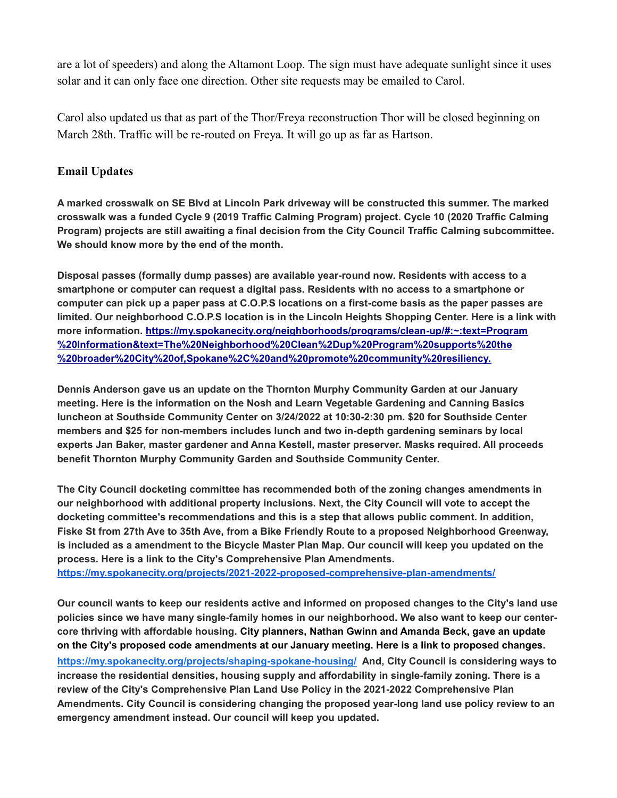are a lot of speeders) and along the Altamont Loop. The sign must have adequate sunlight since it uses solar and it can only face one direction. Other site requests may be emailed to Carol.

Carol also updated us that as part of the Thor/Freya reconstruction Thor will be closed beginning on March 28th. Traffic will be re-routed on Freya. It will go up as far as Hartson.

# Email Updates

A marked crosswalk on SE Blvd at Lincoln Park driveway will be constructed this summer. The marked crosswalk was a funded Cycle 9 (2019 Traffic Calming Program) project. Cycle 10 (2020 Traffic Calming Program) projects are still awaiting a final decision from the City Council Traffic Calming subcommittee. We should know more by the end of the month.

Disposal passes (formally dump passes) are available year-round now. Residents with access to a smartphone or computer can request a digital pass. Residents with no access to a smartphone or computer can pick up a paper pass at C.O.P.S locations on a first-come basis as the paper passes are limited. Our neighborhood C.O.P.S location is in the Lincoln Heights Shopping Center. Here is a link with more information. https://my.spokanecity.org/neighborhoods/programs/clean-up/#:~:text=Program %20Information&text=The%20Neighborhood%20Clean%2Dup%20Program%20supports%20the %20broader%20City%20of,Spokane%2C%20and%20promote%20community%20resiliency.

Dennis Anderson gave us an update on the Thornton Murphy Community Garden at our January meeting. Here is the information on the Nosh and Learn Vegetable Gardening and Canning Basics luncheon at Southside Community Center on 3/24/2022 at 10:30-2:30 pm. \$20 for Southside Center members and \$25 for non-members includes lunch and two in-depth gardening seminars by local experts Jan Baker, master gardener and Anna Kestell, master preserver. Masks required. All proceeds benefit Thornton Murphy Community Garden and Southside Community Center.

The City Council docketing committee has recommended both of the zoning changes amendments in our neighborhood with additional property inclusions. Next, the City Council will vote to accept the docketing committee's recommendations and this is a step that allows public comment. In addition, Fiske St from 27th Ave to 35th Ave, from a Bike Friendly Route to a proposed Neighborhood Greenway, is included as a amendment to the Bicycle Master Plan Map. Our council will keep you updated on the process. Here is a link to the City's Comprehensive Plan Amendments.

https://my.spokanecity.org/projects/2021-2022-proposed-comprehensive-plan-amendments/

Our council wants to keep our residents active and informed on proposed changes to the City's land use policies since we have many single-family homes in our neighborhood. We also want to keep our centercore thriving with affordable housing. City planners, Nathan Gwinn and Amanda Beck, gave an update on the City's proposed code amendments at our January meeting. Here is a link to proposed changes. https://my.spokanecity.org/projects/shaping-spokane-housing/ And, City Council is considering ways to increase the residential densities, housing supply and affordability in single-family zoning. There is a review of the City's Comprehensive Plan Land Use Policy in the 2021-2022 Comprehensive Plan Amendments. City Council is considering changing the proposed year-long land use policy review to an emergency amendment instead. Our council will keep you updated.